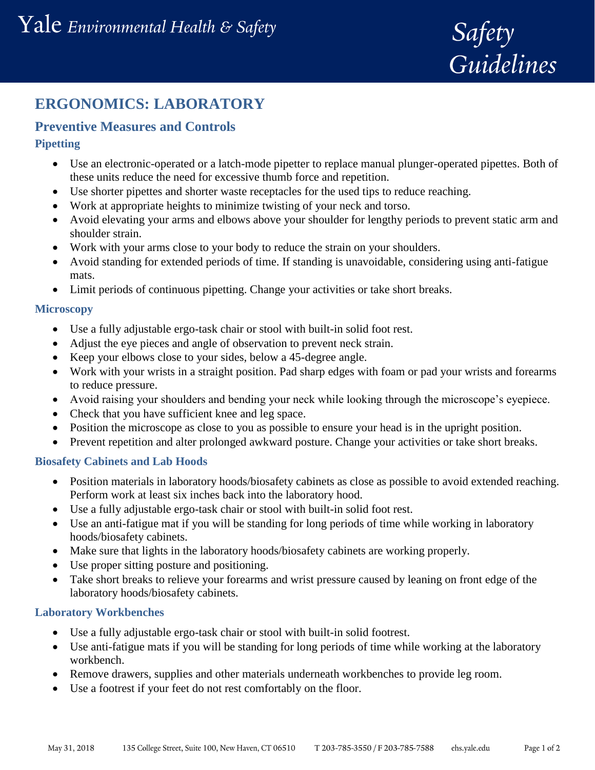

# **ERGONOMICS: LABORATORY**

# **Preventive Measures and Controls**

## **Pipetting**

- Use an electronic-operated or a latch-mode pipetter to replace manual plunger-operated pipettes. Both of these units reduce the need for excessive thumb force and repetition.
- Use shorter pipettes and shorter waste receptacles for the used tips to reduce reaching.
- Work at appropriate heights to minimize twisting of your neck and torso.
- Avoid elevating your arms and elbows above your shoulder for lengthy periods to prevent static arm and shoulder strain.
- Work with your arms close to your body to reduce the strain on your shoulders.
- Avoid standing for extended periods of time. If standing is unavoidable, considering using anti-fatigue mats.
- Limit periods of continuous pipetting. Change your activities or take short breaks.

## **Microscopy**

- Use a fully adjustable ergo-task chair or stool with built-in solid foot rest.
- Adjust the eye pieces and angle of observation to prevent neck strain.
- Keep your elbows close to your sides, below a 45-degree angle.
- Work with your wrists in a straight position. Pad sharp edges with foam or pad your wrists and forearms to reduce pressure.
- Avoid raising your shoulders and bending your neck while looking through the microscope's eyepiece.
- Check that you have sufficient knee and leg space.
- Position the microscope as close to you as possible to ensure your head is in the upright position.
- Prevent repetition and alter prolonged awkward posture. Change your activities or take short breaks.

## **Biosafety Cabinets and Lab Hoods**

- Position materials in laboratory hoods/biosafety cabinets as close as possible to avoid extended reaching. Perform work at least six inches back into the laboratory hood.
- Use a fully adjustable ergo-task chair or stool with built-in solid foot rest.
- Use an anti-fatigue mat if you will be standing for long periods of time while working in laboratory hoods/biosafety cabinets.
- Make sure that lights in the laboratory hoods/biosafety cabinets are working properly.
- Use proper sitting posture and positioning.
- Take short breaks to relieve your forearms and wrist pressure caused by leaning on front edge of the laboratory hoods/biosafety cabinets.

## **Laboratory Workbenches**

- Use a fully adjustable ergo-task chair or stool with built-in solid footrest.
- Use anti-fatigue mats if you will be standing for long periods of time while working at the laboratory workbench.
- Remove drawers, supplies and other materials underneath workbenches to provide leg room.
- Use a footrest if your feet do not rest comfortably on the floor.